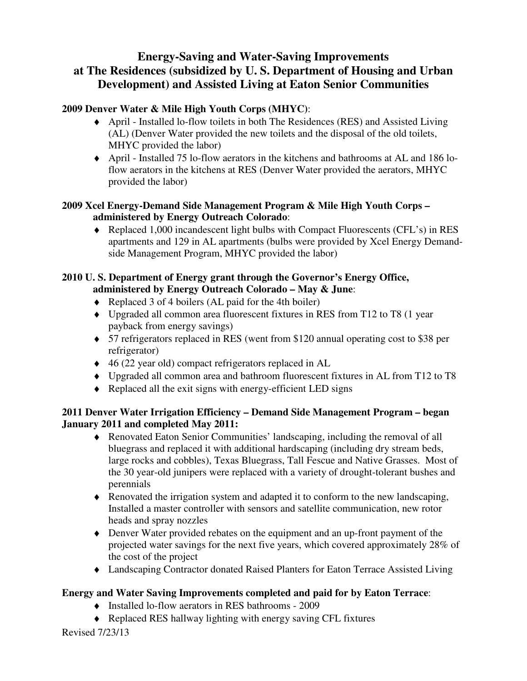# **Energy-Saving and Water-Saving Improvements at The Residences (subsidized by U. S. Department of Housing and Urban Development) and Assisted Living at Eaton Senior Communities**

# **2009 Denver Water & Mile High Youth Corps (MHYC)**:

- ♦ April Installed lo-flow toilets in both The Residences (RES) and Assisted Living (AL) (Denver Water provided the new toilets and the disposal of the old toilets, MHYC provided the labor)
- ♦ April Installed 75 lo-flow aerators in the kitchens and bathrooms at AL and 186 loflow aerators in the kitchens at RES (Denver Water provided the aerators, MHYC provided the labor)

### **2009 Xcel Energy-Demand Side Management Program & Mile High Youth Corps – administered by Energy Outreach Colorado**:

♦ Replaced 1,000 incandescent light bulbs with Compact Fluorescents (CFL's) in RES apartments and 129 in AL apartments (bulbs were provided by Xcel Energy Demandside Management Program, MHYC provided the labor)

## **2010 U. S. Department of Energy grant through the Governor's Energy Office, administered by Energy Outreach Colorado – May & June**:

- ♦ Replaced 3 of 4 boilers (AL paid for the 4th boiler)
- ♦ Upgraded all common area fluorescent fixtures in RES from T12 to T8 (1 year payback from energy savings)
- ♦ 57 refrigerators replaced in RES (went from \$120 annual operating cost to \$38 per refrigerator)
- ♦ 46 (22 year old) compact refrigerators replaced in AL
- ♦ Upgraded all common area and bathroom fluorescent fixtures in AL from T12 to T8
- ♦ Replaced all the exit signs with energy-efficient LED signs

### **2011 Denver Water Irrigation Efficiency – Demand Side Management Program – began January 2011 and completed May 2011:**

- ♦ Renovated Eaton Senior Communities' landscaping, including the removal of all bluegrass and replaced it with additional hardscaping (including dry stream beds, large rocks and cobbles), Texas Bluegrass, Tall Fescue and Native Grasses. Most of the 30 year-old junipers were replaced with a variety of drought-tolerant bushes and perennials
- ♦ Renovated the irrigation system and adapted it to conform to the new landscaping, Installed a master controller with sensors and satellite communication, new rotor heads and spray nozzles
- ♦ Denver Water provided rebates on the equipment and an up-front payment of the projected water savings for the next five years, which covered approximately 28% of the cost of the project
- ♦ Landscaping Contractor donated Raised Planters for Eaton Terrace Assisted Living

# **Energy and Water Saving Improvements completed and paid for by Eaton Terrace**:

- ♦ Installed lo-flow aerators in RES bathrooms 2009
- ♦ Replaced RES hallway lighting with energy saving CFL fixtures

Revised 7/23/13